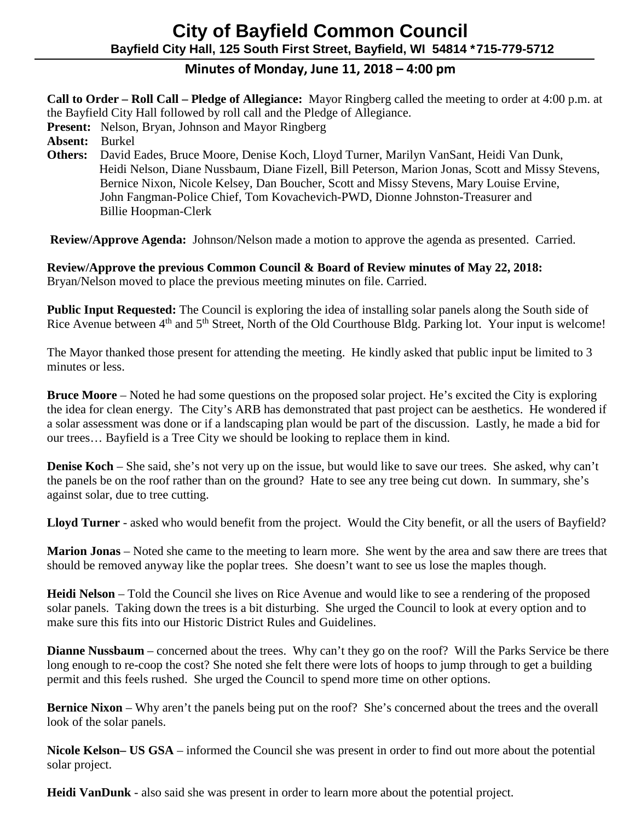# **City of Bayfield Common Council Bayfield City Hall, 125 South First Street, Bayfield, WI 54814 \*715-779-5712**

## **Minutes of Monday, June 11, 2018 – 4:00 pm**

**Call to Order – Roll Call – Pledge of Allegiance:** Mayor Ringberg called the meeting to order at 4:00 p.m. at the Bayfield City Hall followed by roll call and the Pledge of Allegiance.

 **Present:** Nelson, Bryan, Johnson and Mayor Ringberg

 **Absent:** Burkel

 **Others:** David Eades, Bruce Moore, Denise Koch, Lloyd Turner, Marilyn VanSant, Heidi Van Dunk, Heidi Nelson, Diane Nussbaum, Diane Fizell, Bill Peterson, Marion Jonas, Scott and Missy Stevens, Bernice Nixon, Nicole Kelsey, Dan Boucher, Scott and Missy Stevens, Mary Louise Ervine, John Fangman-Police Chief, Tom Kovachevich-PWD, Dionne Johnston-Treasurer and Billie Hoopman-Clerk

 **Review/Approve Agenda:** Johnson/Nelson made a motion to approve the agenda as presented. Carried.

**Review/Approve the previous Common Council & Board of Review minutes of May 22, 2018:**  Bryan/Nelson moved to place the previous meeting minutes on file. Carried.

**Public Input Requested:** The Council is exploring the idea of installing solar panels along the South side of Rice Avenue between 4<sup>th</sup> and 5<sup>th</sup> Street, North of the Old Courthouse Bldg. Parking lot. Your input is welcome!

The Mayor thanked those present for attending the meeting. He kindly asked that public input be limited to 3 minutes or less.

**Bruce Moore** – Noted he had some questions on the proposed solar project. He's excited the City is exploring the idea for clean energy. The City's ARB has demonstrated that past project can be aesthetics. He wondered if a solar assessment was done or if a landscaping plan would be part of the discussion. Lastly, he made a bid for our trees… Bayfield is a Tree City we should be looking to replace them in kind.

**Denise Koch** – She said, she's not very up on the issue, but would like to save our trees. She asked, why can't the panels be on the roof rather than on the ground? Hate to see any tree being cut down. In summary, she's against solar, due to tree cutting.

**Lloyd Turner** - asked who would benefit from the project. Would the City benefit, or all the users of Bayfield?

**Marion Jonas** – Noted she came to the meeting to learn more. She went by the area and saw there are trees that should be removed anyway like the poplar trees. She doesn't want to see us lose the maples though.

**Heidi Nelson** – Told the Council she lives on Rice Avenue and would like to see a rendering of the proposed solar panels. Taking down the trees is a bit disturbing. She urged the Council to look at every option and to make sure this fits into our Historic District Rules and Guidelines.

**Dianne Nussbaum** – concerned about the trees. Why can't they go on the roof? Will the Parks Service be there long enough to re-coop the cost? She noted she felt there were lots of hoops to jump through to get a building permit and this feels rushed. She urged the Council to spend more time on other options.

**Bernice** Nixon – Why aren't the panels being put on the roof? She's concerned about the trees and the overall look of the solar panels.

**Nicole Kelson– US GSA** – informed the Council she was present in order to find out more about the potential solar project.

**Heidi VanDunk** - also said she was present in order to learn more about the potential project.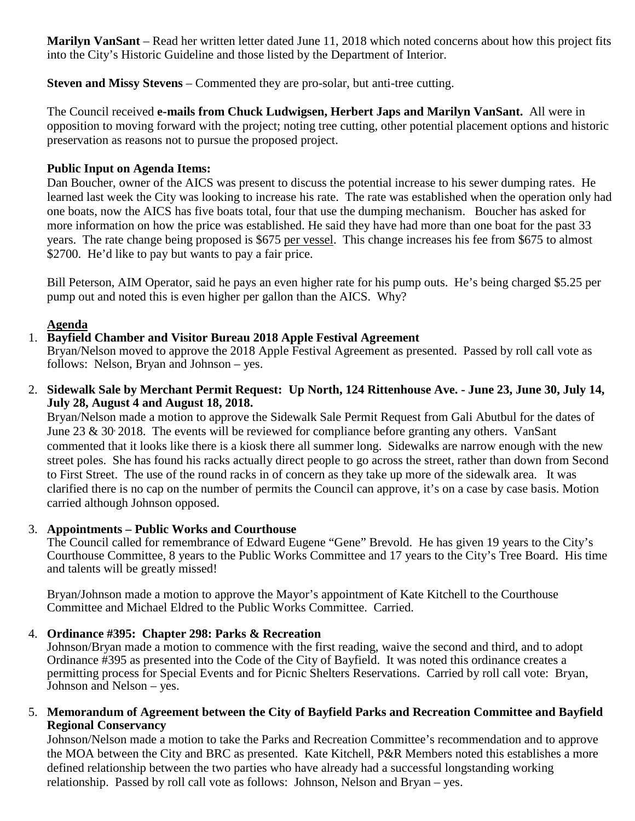**Marilyn VanSant** – Read her written letter dated June 11, 2018 which noted concerns about how this project fits into the City's Historic Guideline and those listed by the Department of Interior.

**Steven and Missy Stevens** – Commented they are pro-solar, but anti-tree cutting.

The Council received **e-mails from Chuck Ludwigsen, Herbert Japs and Marilyn VanSant.** All were in opposition to moving forward with the project; noting tree cutting, other potential placement options and historic preservation as reasons not to pursue the proposed project.

### **Public Input on Agenda Items:**

Dan Boucher, owner of the AICS was present to discuss the potential increase to his sewer dumping rates. He learned last week the City was looking to increase his rate. The rate was established when the operation only had one boats, now the AICS has five boats total, four that use the dumping mechanism. Boucher has asked for more information on how the price was established. He said they have had more than one boat for the past 33 years. The rate change being proposed is \$675 per vessel. This change increases his fee from \$675 to almost \$2700. He'd like to pay but wants to pay a fair price.

Bill Peterson, AIM Operator, said he pays an even higher rate for his pump outs. He's being charged \$5.25 per pump out and noted this is even higher per gallon than the AICS. Why?

### **Agenda**

### 1. **Bayfield Chamber and Visitor Bureau 2018 Apple Festival Agreement**

Bryan/Nelson moved to approve the 2018 Apple Festival Agreement as presented. Passed by roll call vote as follows: Nelson, Bryan and Johnson – yes.

2. **Sidewalk Sale by Merchant Permit Request: Up North, 124 Rittenhouse Ave. - June 23, June 30, July 14, July 28, August 4 and August 18, 2018.**

Bryan/Nelson made a motion to approve the Sidewalk Sale Permit Request from Gali Abutbul for the dates of June 23 & 30, 2018. The events will be reviewed for compliance before granting any others. VanSant commented that it looks like there is a kiosk there all summer long. Sidewalks are narrow enough with the new street poles. She has found his racks actually direct people to go across the street, rather than down from Second to First Street. The use of the round racks in of concern as they take up more of the sidewalk area. It was clarified there is no cap on the number of permits the Council can approve, it's on a case by case basis. Motion carried although Johnson opposed.

#### 3. **Appointments – Public Works and Courthouse**

The Council called for remembrance of Edward Eugene "Gene" Brevold. He has given 19 years to the City's Courthouse Committee, 8 years to the Public Works Committee and 17 years to the City's Tree Board. His time and talents will be greatly missed!

Bryan/Johnson made a motion to approve the Mayor's appointment of Kate Kitchell to the Courthouse Committee and Michael Eldred to the Public Works Committee. Carried.

#### 4. **Ordinance #395: Chapter 298: Parks & Recreation**

Johnson/Bryan made a motion to commence with the first reading, waive the second and third, and to adopt Ordinance #395 as presented into the Code of the City of Bayfield. It was noted this ordinance creates a permitting process for Special Events and for Picnic Shelters Reservations. Carried by roll call vote: Bryan, Johnson and Nelson – yes.

#### 5. **Memorandum of Agreement between the City of Bayfield Parks and Recreation Committee and Bayfield Regional Conservancy**

Johnson/Nelson made a motion to take the Parks and Recreation Committee's recommendation and to approve the MOA between the City and BRC as presented. Kate Kitchell, P&R Members noted this establishes a more defined relationship between the two parties who have already had a successful longstanding working relationship. Passed by roll call vote as follows: Johnson, Nelson and Bryan – yes.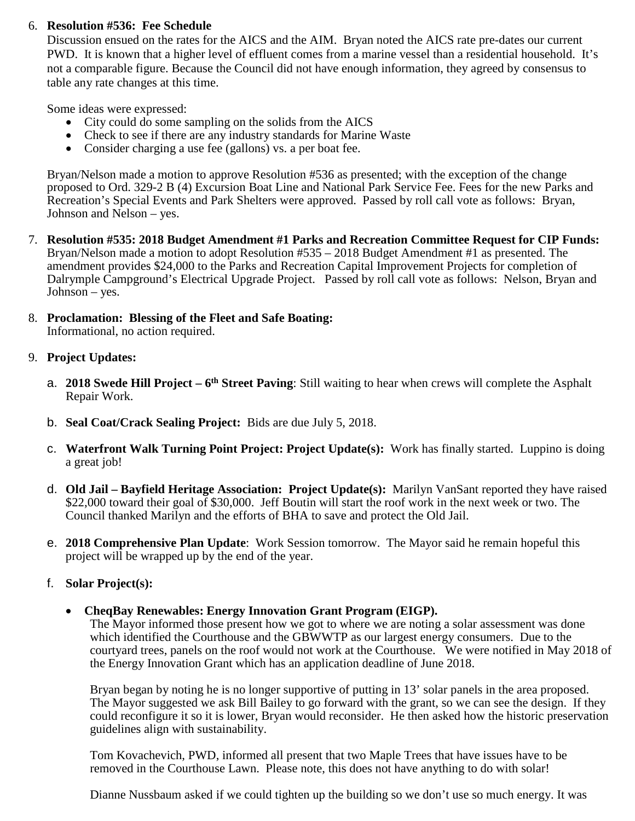#### 6. **Resolution #536: Fee Schedule**

Discussion ensued on the rates for the AICS and the AIM. Bryan noted the AICS rate pre-dates our current PWD. It is known that a higher level of effluent comes from a marine vessel than a residential household. It's not a comparable figure. Because the Council did not have enough information, they agreed by consensus to table any rate changes at this time.

Some ideas were expressed:

- City could do some sampling on the solids from the AICS
- Check to see if there are any industry standards for Marine Waste
- Consider charging a use fee (gallons) vs. a per boat fee.

Bryan/Nelson made a motion to approve Resolution #536 as presented; with the exception of the change proposed to Ord. 329-2 B (4) Excursion Boat Line and National Park Service Fee. Fees for the new Parks and Recreation's Special Events and Park Shelters were approved. Passed by roll call vote as follows: Bryan, Johnson and Nelson – yes.

- 7. **Resolution #535: 2018 Budget Amendment #1 Parks and Recreation Committee Request for CIP Funds:**  Bryan/Nelson made a motion to adopt Resolution #535 – 2018 Budget Amendment #1 as presented. The amendment provides \$24,000 to the Parks and Recreation Capital Improvement Projects for completion of Dalrymple Campground's Electrical Upgrade Project. Passed by roll call vote as follows: Nelson, Bryan and Johnson – yes.
- 8. **Proclamation: Blessing of the Fleet and Safe Boating:** Informational, no action required.

#### 9. **Project Updates:**

- a. **2018 Swede Hill Project – 6th Street Paving**: Still waiting to hear when crews will complete the Asphalt Repair Work.
- b. **Seal Coat/Crack Sealing Project:** Bids are due July 5, 2018.
- c. **Waterfront Walk Turning Point Project: Project Update(s):** Work has finally started. Luppino is doing a great job!
- d. **Old Jail – Bayfield Heritage Association: Project Update(s):** Marilyn VanSant reported they have raised \$22,000 toward their goal of \$30,000. Jeff Boutin will start the roof work in the next week or two. The Council thanked Marilyn and the efforts of BHA to save and protect the Old Jail.
- e. **2018 Comprehensive Plan Update**: Work Session tomorrow. The Mayor said he remain hopeful this project will be wrapped up by the end of the year.

## f. **Solar Project(s):**

• **CheqBay Renewables: Energy Innovation Grant Program (EIGP).**

The Mayor informed those present how we got to where we are noting a solar assessment was done which identified the Courthouse and the GBWWTP as our largest energy consumers. Due to the courtyard trees, panels on the roof would not work at the Courthouse. We were notified in May 2018 of the Energy Innovation Grant which has an application deadline of June 2018.

Bryan began by noting he is no longer supportive of putting in 13' solar panels in the area proposed. The Mayor suggested we ask Bill Bailey to go forward with the grant, so we can see the design. If they could reconfigure it so it is lower, Bryan would reconsider. He then asked how the historic preservation guidelines align with sustainability.

Tom Kovachevich, PWD, informed all present that two Maple Trees that have issues have to be removed in the Courthouse Lawn. Please note, this does not have anything to do with solar!

Dianne Nussbaum asked if we could tighten up the building so we don't use so much energy. It was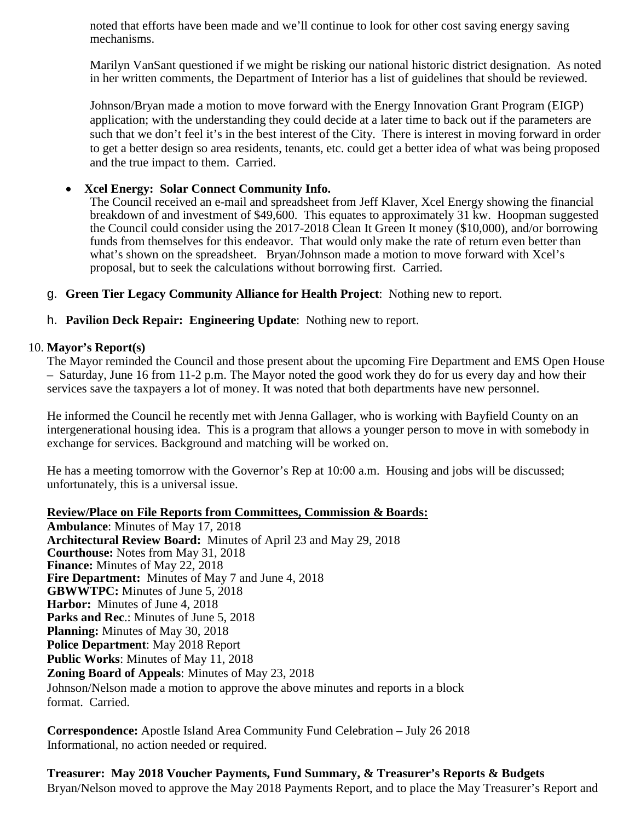noted that efforts have been made and we'll continue to look for other cost saving energy saving mechanisms.

Marilyn VanSant questioned if we might be risking our national historic district designation. As noted in her written comments, the Department of Interior has a list of guidelines that should be reviewed.

Johnson/Bryan made a motion to move forward with the Energy Innovation Grant Program (EIGP) application; with the understanding they could decide at a later time to back out if the parameters are such that we don't feel it's in the best interest of the City. There is interest in moving forward in order to get a better design so area residents, tenants, etc. could get a better idea of what was being proposed and the true impact to them. Carried.

#### • **Xcel Energy: Solar Connect Community Info.**

The Council received an e-mail and spreadsheet from Jeff Klaver, Xcel Energy showing the financial breakdown of and investment of \$49,600. This equates to approximately 31 kw. Hoopman suggested the Council could consider using the 2017-2018 Clean It Green It money (\$10,000), and/or borrowing funds from themselves for this endeavor. That would only make the rate of return even better than what's shown on the spreadsheet. Bryan/Johnson made a motion to move forward with Xcel's proposal, but to seek the calculations without borrowing first. Carried.

- g. **Green Tier Legacy Community Alliance for Health Project**: Nothing new to report.
- h. **Pavilion Deck Repair: Engineering Update**: Nothing new to report.

#### 10. **Mayor's Report(s)**

The Mayor reminded the Council and those present about the upcoming Fire Department and EMS Open House – Saturday, June 16 from 11-2 p.m. The Mayor noted the good work they do for us every day and how their services save the taxpayers a lot of money. It was noted that both departments have new personnel.

He informed the Council he recently met with Jenna Gallager, who is working with Bayfield County on an intergenerational housing idea. This is a program that allows a younger person to move in with somebody in exchange for services. Background and matching will be worked on.

He has a meeting tomorrow with the Governor's Rep at 10:00 a.m. Housing and jobs will be discussed; unfortunately, this is a universal issue.

#### **Review/Place on File Reports from Committees, Commission & Boards:**

**Ambulance**: Minutes of May 17, 2018 **Architectural Review Board:** Minutes of April 23 and May 29, 2018 **Courthouse:** Notes from May 31, 2018 **Finance:** Minutes of May 22, 2018 **Fire Department:** Minutes of May 7 and June 4, 2018 **GBWWTPC:** Minutes of June 5, 2018 **Harbor:** Minutes of June 4, 2018 **Parks and Rec**.: Minutes of June 5, 2018 **Planning:** Minutes of May 30, 2018 **Police Department**: May 2018 Report **Public Works**: Minutes of May 11, 2018 **Zoning Board of Appeals**: Minutes of May 23, 2018 Johnson/Nelson made a motion to approve the above minutes and reports in a block format. Carried.

**Correspondence:** Apostle Island Area Community Fund Celebration – July 26 2018 Informational, no action needed or required.

 **Treasurer: May 2018 Voucher Payments, Fund Summary, & Treasurer's Reports & Budgets** Bryan/Nelson moved to approve the May 2018 Payments Report, and to place the May Treasurer's Report and